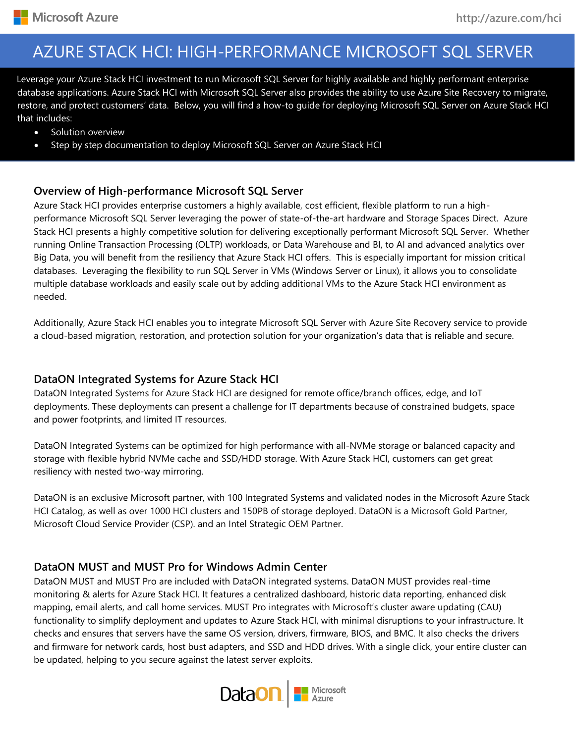# AZURE STACK HCI: HIGH-PERFORMANCE MICROSOFT SQL SERVER

su database applications. Azure Stack HCI with Microsoft SQL Server also provides the ability to use Azure Site Recovery to migrate, Leverage your Azure Stack HCI investment to run Microsoft SQL Server for highly available and highly performant enterprise restore, and protect customers' data. Below, you will find a how-to guide for deploying Microsoft SQL Server on Azure Stack HCI that includes:

- Solution overview
- Step by step documentation to deploy Microsoft SQL Server on Azure Stack HCI

## **Overview of High-performance Microsoft SQL Server**

Azure Stack HCI provides enterprise customers a highly available, cost efficient, flexible platform to run a highperformance Microsoft SQL Server leveraging the power of state-of-the-art hardware and Storage Spaces Direct. Azure Stack HCI presents a highly competitive solution for delivering exceptionally performant Microsoft SQL Server. Whether running Online Transaction Processing (OLTP) workloads, or Data Warehouse and BI, to AI and advanced analytics over Big Data, you will benefit from the resiliency that Azure Stack HCI offers. This is especially important for mission critical databases. Leveraging the flexibility to run SQL Server in VMs (Windows Server or Linux), it allows you to consolidate multiple database workloads and easily scale out by adding additional VMs to the Azure Stack HCI environment as needed.

Additionally, Azure Stack HCI enables you to integrate Microsoft SQL Server with Azure Site Recovery service to provide a cloud-based migration, restoration, and protection solution for your organization's data that is reliable and secure.

## **DataON Integrated Systems for Azure Stack HCI**

DataON Integrated Systems for Azure Stack HCI are designed for remote office/branch offices, edge, and IoT deployments. These deployments can present a challenge for IT departments because of constrained budgets, space and power footprints, and limited IT resources.

DataON Integrated Systems can be optimized for high performance with all-NVMe storage or balanced capacity and storage with flexible hybrid NVMe cache and SSD/HDD storage. With Azure Stack HCI, customers can get great resiliency with nested two-way mirroring.

DataON is an exclusive Microsoft partner, with 100 Integrated Systems and validated nodes in the Microsoft Azure Stack HCI Catalog, as well as over 1000 HCI clusters and 150PB of storage deployed. DataON is a Microsoft Gold Partner, Microsoft Cloud Service Provider (CSP). and an Intel Strategic OEM Partner.

## **DataON MUST and MUST Pro for Windows Admin Center**

DataON MUST and MUST Pro are included with DataON integrated systems. DataON MUST provides real-time monitoring & alerts for Azure Stack HCI. It features a centralized dashboard, historic data reporting, enhanced disk mapping, email alerts, and call home services. MUST Pro integrates with Microsoft's cluster aware updating (CAU) functionality to simplify deployment and updates to Azure Stack HCI, with minimal disruptions to your infrastructure. It checks and ensures that servers have the same OS version, drivers, firmware, BIOS, and BMC. It also checks the drivers and firmware for network cards, host bust adapters, and SSD and HDD drives. With a single click, your entire cluster can be updated, helping to you secure against the latest server exploits.

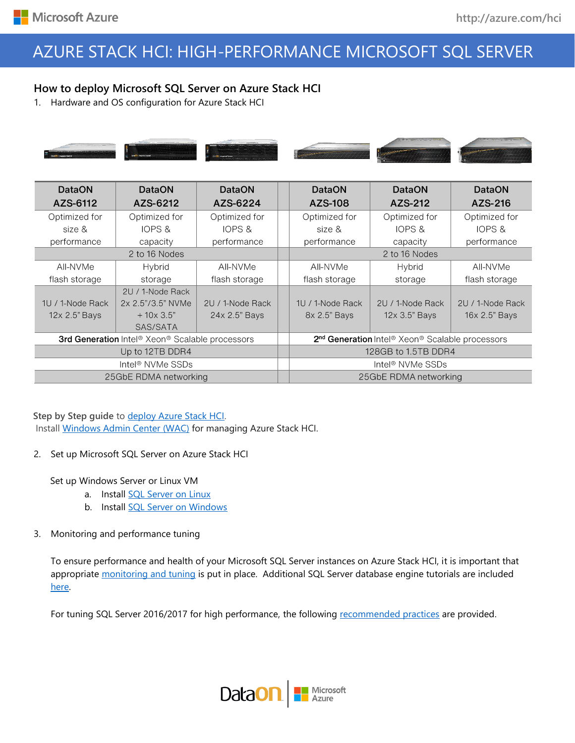# AZURE STACK HCI: HIGH-PERFORMANCE MICROSOFT SQL SERVER

## **How to deploy Microsoft SQL Server on Azure Stack HCI**

1. Hardware and OS configuration for Azure Stack HCI



| <b>DataON</b>                                   | <b>DataON</b>     | <b>DataON</b>     |                                                                                     | <b>DataON</b>    | <b>DataON</b>     | <b>DataON</b>    |
|-------------------------------------------------|-------------------|-------------------|-------------------------------------------------------------------------------------|------------------|-------------------|------------------|
| AZS-6112                                        | AZS-6212          | AZS-6224          |                                                                                     | AZS-108          | AZS-212           | AZS-216          |
| Optimized for                                   | Optimized for     | Optimized for     |                                                                                     | Optimized for    | Optimized for     | Optimized for    |
| size &                                          | <b>IOPS &amp;</b> | <b>IOPS &amp;</b> |                                                                                     | size &           | <b>IOPS &amp;</b> | IOPS &           |
| performance                                     | capacity          | performance       |                                                                                     | performance      | capacity          | performance      |
| 2 to 16 Nodes                                   |                   |                   | 2 to 16 Nodes                                                                       |                  |                   |                  |
| AII-NVMe                                        | Hybrid            | AII-NVMe          |                                                                                     | All-NVMe         | Hybrid            | All-NVMe         |
| flash storage                                   | storage           | flash storage     |                                                                                     | flash storage    | storage           | flash storage    |
|                                                 | 2U / 1-Node Rack  |                   |                                                                                     |                  |                   |                  |
| 1U / 1-Node Rack                                | 2x 2.5"/3.5" NVMe | 2U / 1-Node Rack  |                                                                                     | 1U / 1-Node Rack | 2U / 1-Node Rack  | 2U / 1-Node Rack |
| 12x 2.5" Bays                                   | $+10x3.5"$        | 24x 2.5" Bays     |                                                                                     | 8x 2.5" Bays     | 12x 3.5" Bays     | 16x 2.5" Bays    |
|                                                 | SAS/SATA          |                   |                                                                                     |                  |                   |                  |
| 3rd Generation Intel® Xeon® Scalable processors |                   |                   | 2 <sup>nd</sup> Generation Intel <sup>®</sup> Xeon <sup>®</sup> Scalable processors |                  |                   |                  |
| Up to 12TB DDR4                                 |                   |                   | 128GB to 1.5TB DDR4                                                                 |                  |                   |                  |
| Intel <sup>®</sup> NVMe SSDs                    |                   |                   | Intel <sup>®</sup> NVMe SSDs                                                        |                  |                   |                  |
| 25GbE RDMA networking                           |                   |                   | 25GbE RDMA networking                                                               |                  |                   |                  |

### **Step by Step guide to [deploy Azure Stack HCI.](https://docs.microsoft.com/azure-stack/hci/)** Install [Windows Admin Center \(WAC\)](https://aka.ms/windowsadmincenter) for managing Azure Stack HCI.

2. Set up Microsoft SQL Server on Azure Stack HCI

Set up Windows Server or Linux VM

- a. Install [SQL Server on Linux](https://docs.microsoft.com/en-us/sql/linux/sql-server-linux-setup)
- b. Install [SQL Server on Windows](https://docs.microsoft.com/en-us/sql/database-engine/install-windows/install-sql-server)
- 3. Monitoring and performance tuning

To ensure performance and health of your Microsoft SQL Server instances on Azure Stack HCI, it is important that appropriate [monitoring and tuning](https://docs.microsoft.com/en-us/sql/relational-databases/performance/performance-monitoring-and-tuning-tools) is put in place. Additional SQL Server database engine tutorials are included [here.](https://docs.microsoft.com/en-us/sql/relational-databases/database-engine-tutorials) 

For tuning SQL Server 2016/2017 for high performance, the following [recommended practices](https://support.microsoft.com/en-us/help/4465518/recommended-updates-and-configurations-for-sql-server) are provided.